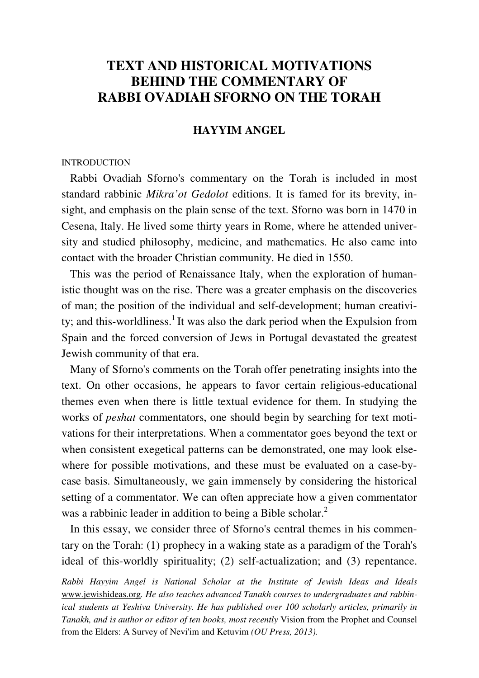# **TEXT AND HISTORICAL MOTIVATIONS BEHIND THE COMMENTARY OF RABBI OVADIAH SFORNO ON THE TORAH**

## **HAYYIM ANGEL**

### **INTRODUCTION**

 Rabbi Ovadiah Sforno's commentary on the Torah is included in most standard rabbinic *Mikra'ot Gedolot* editions. It is famed for its brevity, insight, and emphasis on the plain sense of the text. Sforno was born in 1470 in Cesena, Italy. He lived some thirty years in Rome, where he attended university and studied philosophy, medicine, and mathematics. He also came into contact with the broader Christian community. He died in 1550.

 This was the period of Renaissance Italy, when the exploration of humanistic thought was on the rise. There was a greater emphasis on the discoveries of man; the position of the individual and self-development; human creativity; and this-worldliness.<sup>1</sup> It was also the dark period when the Expulsion from Spain and the forced conversion of Jews in Portugal devastated the greatest Jewish community of that era.

 Many of Sforno's comments on the Torah offer penetrating insights into the text. On other occasions, he appears to favor certain religious-educational themes even when there is little textual evidence for them. In studying the works of *peshat* commentators, one should begin by searching for text motivations for their interpretations. When a commentator goes beyond the text or when consistent exegetical patterns can be demonstrated, one may look elsewhere for possible motivations, and these must be evaluated on a case-bycase basis. Simultaneously, we gain immensely by considering the historical setting of a commentator. We can often appreciate how a given commentator was a rabbinic leader in addition to being a Bible scholar.<sup>2</sup>

 In this essay, we consider three of Sforno's central themes in his commentary on the Torah: (1) prophecy in a waking state as a paradigm of the Torah's ideal of this-worldly spirituality; (2) self-actualization; and (3) repentance.

*Rabbi Hayyim Angel is National Scholar at the Institute of Jewish Ideas and Ideals*  www.jewishideas.org*. He also teaches advanced Tanakh courses to undergraduates and rabbinical students at Yeshiva University. He has published over 100 scholarly articles, primarily in Tanakh, and is author or editor of ten books, most recently* Vision from the Prophet and Counsel from the Elders: A Survey of Nevi'im and Ketuvim *(OU Press, 2013).*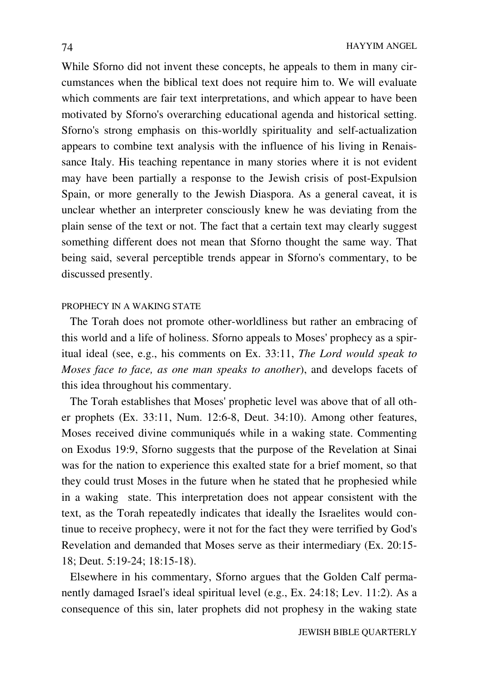While Sforno did not invent these concepts, he appeals to them in many circumstances when the biblical text does not require him to. We will evaluate which comments are fair text interpretations, and which appear to have been motivated by Sforno's overarching educational agenda and historical setting. Sforno's strong emphasis on this-worldly spirituality and self-actualization appears to combine text analysis with the influence of his living in Renaissance Italy. His teaching repentance in many stories where it is not evident may have been partially a response to the Jewish crisis of post-Expulsion Spain, or more generally to the Jewish Diaspora. As a general caveat, it is unclear whether an interpreter consciously knew he was deviating from the plain sense of the text or not. The fact that a certain text may clearly suggest something different does not mean that Sforno thought the same way. That being said, several perceptible trends appear in Sforno's commentary, to be discussed presently.

#### PROPHECY IN A WAKING STATE

 The Torah does not promote other-worldliness but rather an embracing of this world and a life of holiness. Sforno appeals to Moses' prophecy as a spiritual ideal (see, e.g., his comments on Ex. 33:11, *The Lord would speak to Moses face to face, as one man speaks to another*), and develops facets of this idea throughout his commentary.

 The Torah establishes that Moses' prophetic level was above that of all other prophets (Ex. 33:11, Num. 12:6-8, Deut. 34:10). Among other features, Moses received divine communiqués while in a waking state. Commenting on Exodus 19:9, Sforno suggests that the purpose of the Revelation at Sinai was for the nation to experience this exalted state for a brief moment, so that they could trust Moses in the future when he stated that he prophesied while in a waking state. This interpretation does not appear consistent with the text, as the Torah repeatedly indicates that ideally the Israelites would continue to receive prophecy, were it not for the fact they were terrified by God's Revelation and demanded that Moses serve as their intermediary (Ex. 20:15- 18; Deut. 5:19-24; 18:15-18).

 Elsewhere in his commentary, Sforno argues that the Golden Calf permanently damaged Israel's ideal spiritual level (e.g., Ex. 24:18; Lev. 11:2). As a consequence of this sin, later prophets did not prophesy in the waking state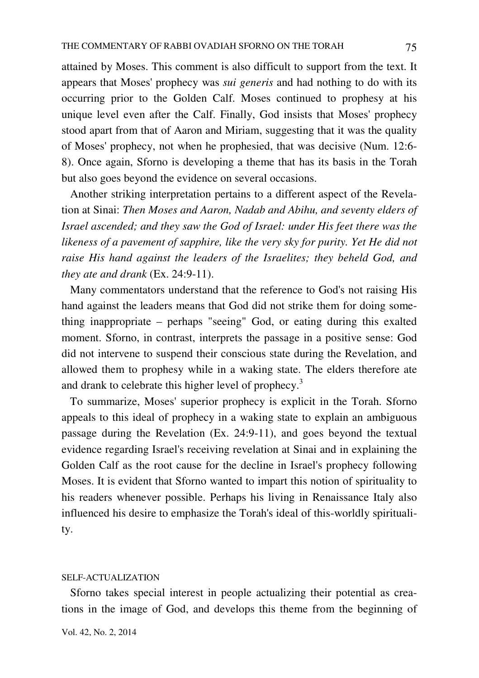attained by Moses. This comment is also difficult to support from the text. It appears that Moses' prophecy was *sui generis* and had nothing to do with its occurring prior to the Golden Calf. Moses continued to prophesy at his unique level even after the Calf. Finally, God insists that Moses' prophecy stood apart from that of Aaron and Miriam, suggesting that it was the quality of Moses' prophecy, not when he prophesied, that was decisive (Num. 12:6- 8). Once again, Sforno is developing a theme that has its basis in the Torah but also goes beyond the evidence on several occasions.

 Another striking interpretation pertains to a different aspect of the Revelation at Sinai: *Then Moses and Aaron, Nadab and Abihu, and seventy elders of Israel ascended; and they saw the God of Israel: under His feet there was the likeness of a pavement of sapphire, like the very sky for purity. Yet He did not raise His hand against the leaders of the Israelites; they beheld God, and they ate and drank* (Ex. 24:9-11).

 Many commentators understand that the reference to God's not raising His hand against the leaders means that God did not strike them for doing something inappropriate – perhaps "seeing" God, or eating during this exalted moment. Sforno, in contrast, interprets the passage in a positive sense: God did not intervene to suspend their conscious state during the Revelation, and allowed them to prophesy while in a waking state. The elders therefore ate and drank to celebrate this higher level of prophecy.<sup>3</sup>

 To summarize, Moses' superior prophecy is explicit in the Torah. Sforno appeals to this ideal of prophecy in a waking state to explain an ambiguous passage during the Revelation (Ex. 24:9-11), and goes beyond the textual evidence regarding Israel's receiving revelation at Sinai and in explaining the Golden Calf as the root cause for the decline in Israel's prophecy following Moses. It is evident that Sforno wanted to impart this notion of spirituality to his readers whenever possible. Perhaps his living in Renaissance Italy also influenced his desire to emphasize the Torah's ideal of this-worldly spirituality.

### SELF-ACTUALIZATION

 Sforno takes special interest in people actualizing their potential as creations in the image of God, and develops this theme from the beginning of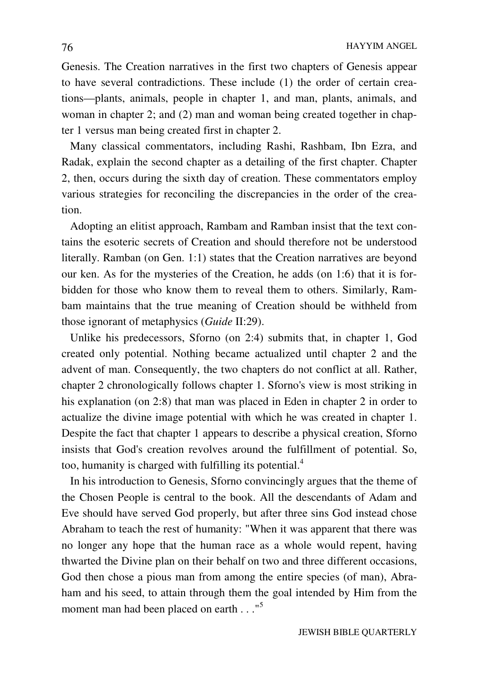Genesis. The Creation narratives in the first two chapters of Genesis appear to have several contradictions. These include (1) the order of certain creations—plants, animals, people in chapter 1, and man, plants, animals, and woman in chapter 2; and (2) man and woman being created together in chapter 1 versus man being created first in chapter 2.

 Many classical commentators, including Rashi, Rashbam, Ibn Ezra, and Radak, explain the second chapter as a detailing of the first chapter. Chapter 2, then, occurs during the sixth day of creation. These commentators employ various strategies for reconciling the discrepancies in the order of the creation.

 Adopting an elitist approach, Rambam and Ramban insist that the text contains the esoteric secrets of Creation and should therefore not be understood literally. Ramban (on Gen. 1:1) states that the Creation narratives are beyond our ken. As for the mysteries of the Creation, he adds (on 1:6) that it is forbidden for those who know them to reveal them to others. Similarly, Rambam maintains that the true meaning of Creation should be withheld from those ignorant of metaphysics (*Guide* II:29).

 Unlike his predecessors, Sforno (on 2:4) submits that, in chapter 1, God created only potential. Nothing became actualized until chapter 2 and the advent of man. Consequently, the two chapters do not conflict at all. Rather, chapter 2 chronologically follows chapter 1. Sforno's view is most striking in his explanation (on 2:8) that man was placed in Eden in chapter 2 in order to actualize the divine image potential with which he was created in chapter 1. Despite the fact that chapter 1 appears to describe a physical creation, Sforno insists that God's creation revolves around the fulfillment of potential. So, too, humanity is charged with fulfilling its potential.<sup>4</sup>

 In his introduction to Genesis, Sforno convincingly argues that the theme of the Chosen People is central to the book. All the descendants of Adam and Eve should have served God properly, but after three sins God instead chose Abraham to teach the rest of humanity: "When it was apparent that there was no longer any hope that the human race as a whole would repent, having thwarted the Divine plan on their behalf on two and three different occasions, God then chose a pious man from among the entire species (of man), Abraham and his seed, to attain through them the goal intended by Him from the moment man had been placed on earth . . ."<sup>5</sup>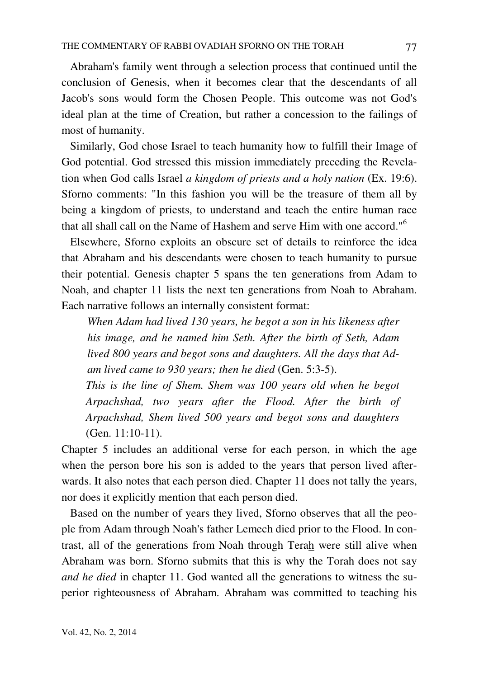Abraham's family went through a selection process that continued until the conclusion of Genesis, when it becomes clear that the descendants of all Jacob's sons would form the Chosen People. This outcome was not God's ideal plan at the time of Creation, but rather a concession to the failings of most of humanity.

 Similarly, God chose Israel to teach humanity how to fulfill their Image of God potential. God stressed this mission immediately preceding the Revelation when God calls Israel *a kingdom of priests and a holy nation* (Ex. 19:6). Sforno comments: "In this fashion you will be the treasure of them all by being a kingdom of priests, to understand and teach the entire human race that all shall call on the Name of Hashem and serve Him with one accord."<sup>6</sup>

 Elsewhere, Sforno exploits an obscure set of details to reinforce the idea that Abraham and his descendants were chosen to teach humanity to pursue their potential. Genesis chapter 5 spans the ten generations from Adam to Noah, and chapter 11 lists the next ten generations from Noah to Abraham. Each narrative follows an internally consistent format:

*When Adam had lived 130 years, he begot a son in his likeness after his image, and he named him Seth. After the birth of Seth, Adam lived 800 years and begot sons and daughters. All the days that Adam lived came to 930 years; then he died* (Gen. 5:3-5).

*This is the line of Shem. Shem was 100 years old when he begot Arpachshad, two years after the Flood. After the birth of Arpachshad, Shem lived 500 years and begot sons and daughters*  (Gen. 11:10-11).

Chapter 5 includes an additional verse for each person, in which the age when the person bore his son is added to the years that person lived afterwards. It also notes that each person died. Chapter 11 does not tally the years, nor does it explicitly mention that each person died.

 Based on the number of years they lived, Sforno observes that all the people from Adam through Noah's father Lemech died prior to the Flood. In contrast, all of the generations from Noah through Terah were still alive when Abraham was born. Sforno submits that this is why the Torah does not say *and he died* in chapter 11. God wanted all the generations to witness the superior righteousness of Abraham. Abraham was committed to teaching his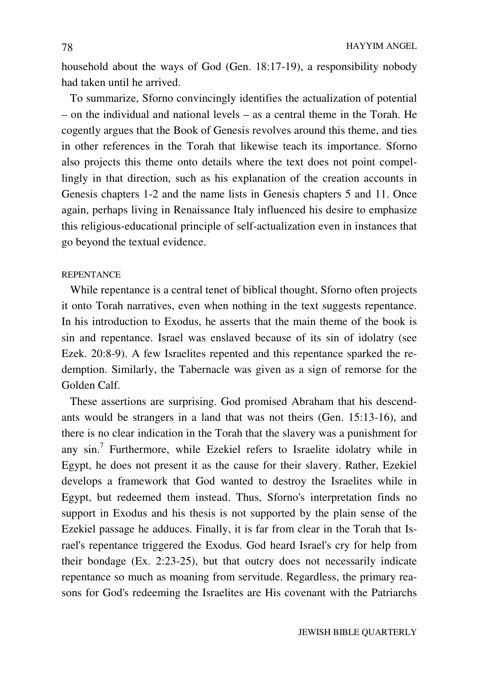household about the ways of God (Gen. 18:17-19), a responsibility nobody had taken until he arrived.

 To summarize, Sforno convincingly identifies the actualization of potential – on the individual and national levels – as a central theme in the Torah. He cogently argues that the Book of Genesis revolves around this theme, and ties in other references in the Torah that likewise teach its importance. Sforno also projects this theme onto details where the text does not point compellingly in that direction, such as his explanation of the creation accounts in Genesis chapters 1-2 and the name lists in Genesis chapters 5 and 11. Once again, perhaps living in Renaissance Italy influenced his desire to emphasize this religious-educational principle of self-actualization even in instances that go beyond the textual evidence.

### **REPENTANCE**

 While repentance is a central tenet of biblical thought, Sforno often projects it onto Torah narratives, even when nothing in the text suggests repentance. In his introduction to Exodus, he asserts that the main theme of the book is sin and repentance. Israel was enslaved because of its sin of idolatry (see Ezek. 20:8-9). A few Israelites repented and this repentance sparked the redemption. Similarly, the Tabernacle was given as a sign of remorse for the Golden Calf.

 These assertions are surprising. God promised Abraham that his descendants would be strangers in a land that was not theirs (Gen. 15:13-16), and there is no clear indication in the Torah that the slavery was a punishment for any sin.<sup>7</sup> Furthermore, while Ezekiel refers to Israelite idolatry while in Egypt, he does not present it as the cause for their slavery. Rather, Ezekiel develops a framework that God wanted to destroy the Israelites while in Egypt, but redeemed them instead. Thus, Sforno's interpretation finds no support in Exodus and his thesis is not supported by the plain sense of the Ezekiel passage he adduces. Finally, it is far from clear in the Torah that Israel's repentance triggered the Exodus. God heard Israel's cry for help from their bondage (Ex. 2:23-25), but that outcry does not necessarily indicate repentance so much as moaning from servitude. Regardless, the primary reasons for God's redeeming the Israelites are His covenant with the Patriarchs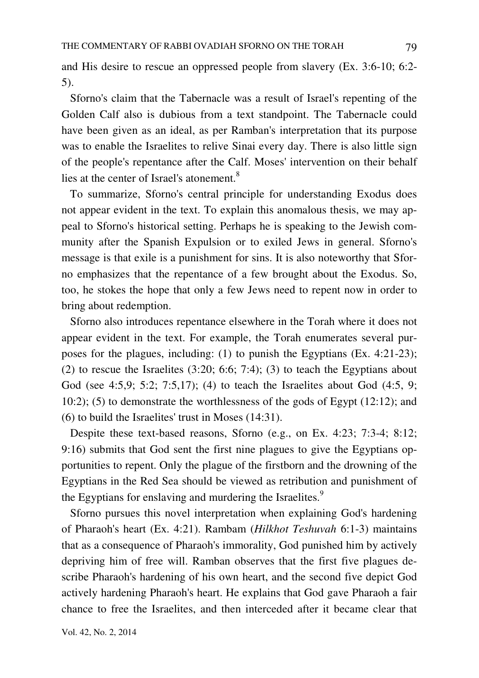and His desire to rescue an oppressed people from slavery (Ex. 3:6-10; 6:2- 5).

 Sforno's claim that the Tabernacle was a result of Israel's repenting of the Golden Calf also is dubious from a text standpoint. The Tabernacle could have been given as an ideal, as per Ramban's interpretation that its purpose was to enable the Israelites to relive Sinai every day. There is also little sign of the people's repentance after the Calf. Moses' intervention on their behalf lies at the center of Israel's atonement.<sup>8</sup>

 To summarize, Sforno's central principle for understanding Exodus does not appear evident in the text. To explain this anomalous thesis, we may appeal to Sforno's historical setting. Perhaps he is speaking to the Jewish community after the Spanish Expulsion or to exiled Jews in general. Sforno's message is that exile is a punishment for sins. It is also noteworthy that Sforno emphasizes that the repentance of a few brought about the Exodus. So, too, he stokes the hope that only a few Jews need to repent now in order to bring about redemption.

 Sforno also introduces repentance elsewhere in the Torah where it does not appear evident in the text. For example, the Torah enumerates several purposes for the plagues, including: (1) to punish the Egyptians (Ex. 4:21-23); (2) to rescue the Israelites  $(3:20; 6:6; 7:4)$ ;  $(3)$  to teach the Egyptians about God (see 4:5,9; 5:2; 7:5,17); (4) to teach the Israelites about God (4:5, 9; 10:2); (5) to demonstrate the worthlessness of the gods of Egypt (12:12); and (6) to build the Israelites' trust in Moses (14:31).

 Despite these text-based reasons, Sforno (e.g., on Ex. 4:23; 7:3-4; 8:12; 9:16) submits that God sent the first nine plagues to give the Egyptians opportunities to repent. Only the plague of the firstborn and the drowning of the Egyptians in the Red Sea should be viewed as retribution and punishment of the Egyptians for enslaving and murdering the Israelites.<sup>9</sup>

 Sforno pursues this novel interpretation when explaining God's hardening of Pharaoh's heart (Ex. 4:21). Rambam (*Hilkhot Teshuvah* 6:1-3) maintains that as a consequence of Pharaoh's immorality, God punished him by actively depriving him of free will. Ramban observes that the first five plagues describe Pharaoh's hardening of his own heart, and the second five depict God actively hardening Pharaoh's heart. He explains that God gave Pharaoh a fair chance to free the Israelites, and then interceded after it became clear that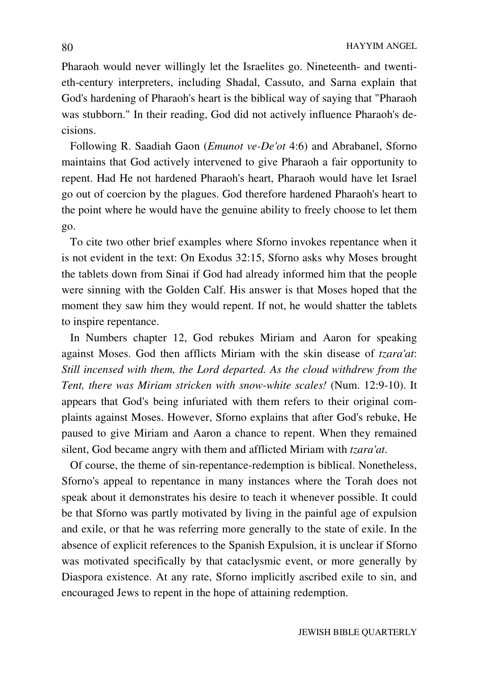Pharaoh would never willingly let the Israelites go. Nineteenth- and twentieth-century interpreters, including Shadal, Cassuto, and Sarna explain that God's hardening of Pharaoh's heart is the biblical way of saying that "Pharaoh was stubborn." In their reading, God did not actively influence Pharaoh's decisions.

 Following R. Saadiah Gaon (*Emunot ve-De'ot* 4:6) and Abrabanel, Sforno maintains that God actively intervened to give Pharaoh a fair opportunity to repent. Had He not hardened Pharaoh's heart, Pharaoh would have let Israel go out of coercion by the plagues. God therefore hardened Pharaoh's heart to the point where he would have the genuine ability to freely choose to let them go.

 To cite two other brief examples where Sforno invokes repentance when it is not evident in the text: On Exodus 32:15, Sforno asks why Moses brought the tablets down from Sinai if God had already informed him that the people were sinning with the Golden Calf. His answer is that Moses hoped that the moment they saw him they would repent. If not, he would shatter the tablets to inspire repentance.

 In Numbers chapter 12, God rebukes Miriam and Aaron for speaking against Moses. God then afflicts Miriam with the skin disease of *tzara'at*: *Still incensed with them, the Lord departed. As the cloud withdrew from the Tent, there was Miriam stricken with snow-white scales!* (Num. 12:9-10). It appears that God's being infuriated with them refers to their original complaints against Moses. However, Sforno explains that after God's rebuke, He paused to give Miriam and Aaron a chance to repent. When they remained silent, God became angry with them and afflicted Miriam with *tzara'at*.

 Of course, the theme of sin-repentance-redemption is biblical. Nonetheless, Sforno's appeal to repentance in many instances where the Torah does not speak about it demonstrates his desire to teach it whenever possible. It could be that Sforno was partly motivated by living in the painful age of expulsion and exile, or that he was referring more generally to the state of exile. In the absence of explicit references to the Spanish Expulsion, it is unclear if Sforno was motivated specifically by that cataclysmic event, or more generally by Diaspora existence. At any rate, Sforno implicitly ascribed exile to sin, and encouraged Jews to repent in the hope of attaining redemption.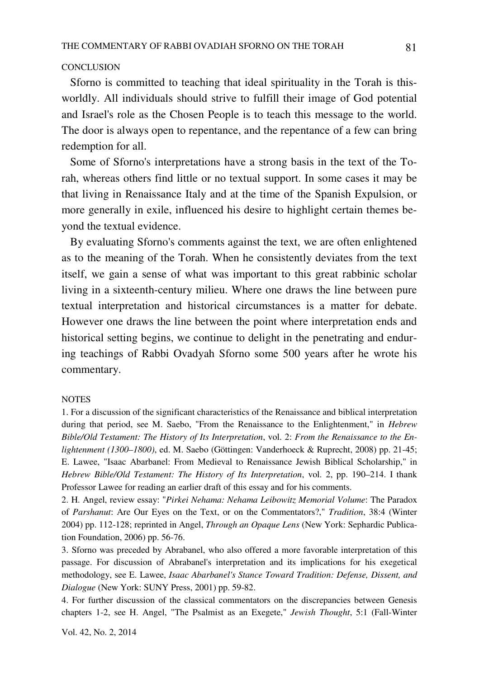#### **CONCLUSION**

 Sforno is committed to teaching that ideal spirituality in the Torah is thisworldly. All individuals should strive to fulfill their image of God potential and Israel's role as the Chosen People is to teach this message to the world. The door is always open to repentance, and the repentance of a few can bring redemption for all.

 Some of Sforno's interpretations have a strong basis in the text of the Torah, whereas others find little or no textual support. In some cases it may be that living in Renaissance Italy and at the time of the Spanish Expulsion, or more generally in exile, influenced his desire to highlight certain themes beyond the textual evidence.

 By evaluating Sforno's comments against the text, we are often enlightened as to the meaning of the Torah. When he consistently deviates from the text itself, we gain a sense of what was important to this great rabbinic scholar living in a sixteenth-century milieu. Where one draws the line between pure textual interpretation and historical circumstances is a matter for debate. However one draws the line between the point where interpretation ends and historical setting begins, we continue to delight in the penetrating and enduring teachings of Rabbi Ovadyah Sforno some 500 years after he wrote his commentary.

#### **NOTES**

1. For a discussion of the significant characteristics of the Renaissance and biblical interpretation during that period, see M. Saebo, "From the Renaissance to the Enlightenment," in *Hebrew Bible/Old Testament: The History of Its Interpretation*, vol. 2: *From the Renaissance to the Enlightenment (1300–1800)*, ed. M. Saebo (Göttingen: Vanderhoeck & Ruprecht, 2008) pp. 21-45; E. Lawee, "Isaac Abarbanel: From Medieval to Renaissance Jewish Biblical Scholarship," in *Hebrew Bible/Old Testament: The History of Its Interpretation*, vol. 2, pp. 190–214. I thank Professor Lawee for reading an earlier draft of this essay and for his comments.

2. H. Angel, review essay: "*Pirkei Nehama: Nehama Leibowitz Memorial Volume*: The Paradox of *Parshanut*: Are Our Eyes on the Text, or on the Commentators?," *Tradition*, 38:4 (Winter 2004) pp. 112-128; reprinted in Angel, *Through an Opaque Lens* (New York: Sephardic Publication Foundation, 2006) pp. 56-76.

3. Sforno was preceded by Abrabanel, who also offered a more favorable interpretation of this passage. For discussion of Abrabanel's interpretation and its implications for his exegetical methodology, see E. Lawee, *Isaac Abarbanel's Stance Toward Tradition: Defense, Dissent, and Dialogue* (New York: SUNY Press, 2001) pp. 59-82.

4. For further discussion of the classical commentators on the discrepancies between Genesis chapters 1-2, see H. Angel, "The Psalmist as an Exegete," *Jewish Thought*, 5:1 (Fall-Winter

Vol. 42, No. 2, 2014